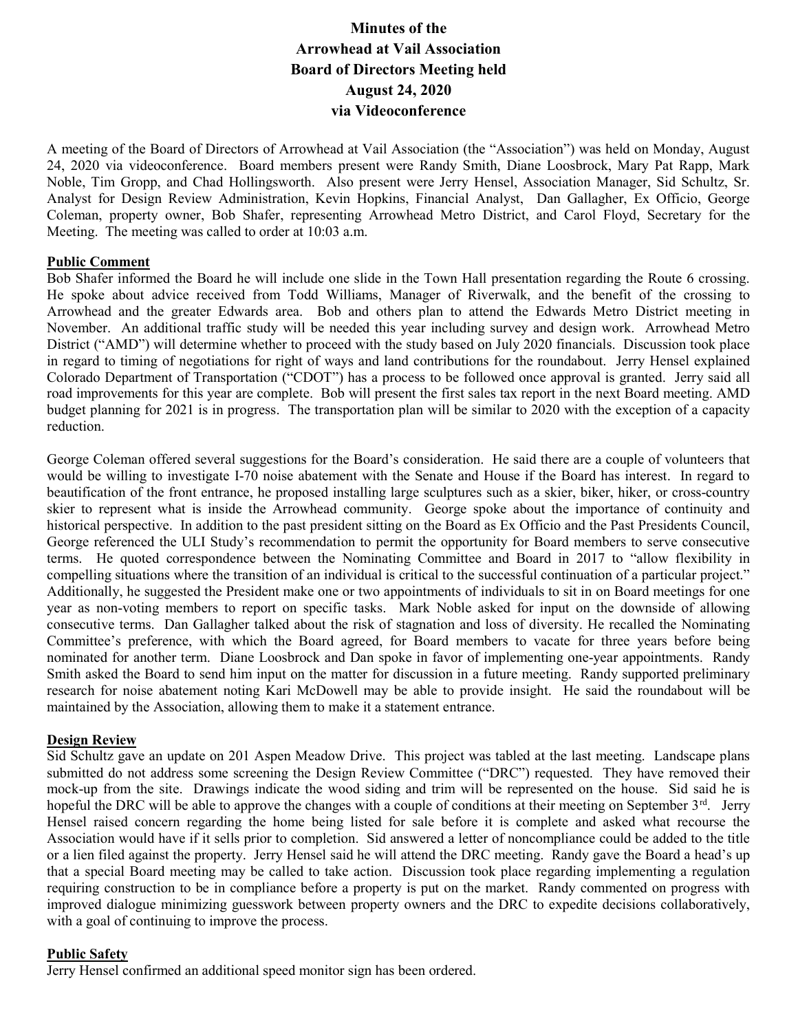# Minutes of the Arrowhead at Vail Association Board of Directors Meeting held August 24, 2020 via Videoconference

A meeting of the Board of Directors of Arrowhead at Vail Association (the "Association") was held on Monday, August 24, 2020 via videoconference. Board members present were Randy Smith, Diane Loosbrock, Mary Pat Rapp, Mark Noble, Tim Gropp, and Chad Hollingsworth. Also present were Jerry Hensel, Association Manager, Sid Schultz, Sr. Analyst for Design Review Administration, Kevin Hopkins, Financial Analyst, Dan Gallagher, Ex Officio, George Coleman, property owner, Bob Shafer, representing Arrowhead Metro District, and Carol Floyd, Secretary for the Meeting. The meeting was called to order at 10:03 a.m.

#### Public Comment

Bob Shafer informed the Board he will include one slide in the Town Hall presentation regarding the Route 6 crossing. He spoke about advice received from Todd Williams, Manager of Riverwalk, and the benefit of the crossing to Arrowhead and the greater Edwards area. Bob and others plan to attend the Edwards Metro District meeting in November. An additional traffic study will be needed this year including survey and design work. Arrowhead Metro District ("AMD") will determine whether to proceed with the study based on July 2020 financials. Discussion took place in regard to timing of negotiations for right of ways and land contributions for the roundabout. Jerry Hensel explained Colorado Department of Transportation ("CDOT") has a process to be followed once approval is granted. Jerry said all road improvements for this year are complete. Bob will present the first sales tax report in the next Board meeting. AMD budget planning for 2021 is in progress. The transportation plan will be similar to 2020 with the exception of a capacity reduction.

George Coleman offered several suggestions for the Board's consideration. He said there are a couple of volunteers that would be willing to investigate I-70 noise abatement with the Senate and House if the Board has interest. In regard to beautification of the front entrance, he proposed installing large sculptures such as a skier, biker, hiker, or cross-country skier to represent what is inside the Arrowhead community. George spoke about the importance of continuity and historical perspective. In addition to the past president sitting on the Board as Ex Officio and the Past Presidents Council, George referenced the ULI Study's recommendation to permit the opportunity for Board members to serve consecutive terms. He quoted correspondence between the Nominating Committee and Board in 2017 to "allow flexibility in compelling situations where the transition of an individual is critical to the successful continuation of a particular project." Additionally, he suggested the President make one or two appointments of individuals to sit in on Board meetings for one year as non-voting members to report on specific tasks. Mark Noble asked for input on the downside of allowing consecutive terms. Dan Gallagher talked about the risk of stagnation and loss of diversity. He recalled the Nominating Committee's preference, with which the Board agreed, for Board members to vacate for three years before being nominated for another term. Diane Loosbrock and Dan spoke in favor of implementing one-year appointments. Randy Smith asked the Board to send him input on the matter for discussion in a future meeting. Randy supported preliminary research for noise abatement noting Kari McDowell may be able to provide insight. He said the roundabout will be maintained by the Association, allowing them to make it a statement entrance.

#### Design Review

Sid Schultz gave an update on 201 Aspen Meadow Drive. This project was tabled at the last meeting. Landscape plans submitted do not address some screening the Design Review Committee ("DRC") requested. They have removed their mock-up from the site. Drawings indicate the wood siding and trim will be represented on the house. Sid said he is hopeful the DRC will be able to approve the changes with a couple of conditions at their meeting on September  $3<sup>rd</sup>$ . Jerry Hensel raised concern regarding the home being listed for sale before it is complete and asked what recourse the Association would have if it sells prior to completion. Sid answered a letter of noncompliance could be added to the title or a lien filed against the property. Jerry Hensel said he will attend the DRC meeting. Randy gave the Board a head's up that a special Board meeting may be called to take action. Discussion took place regarding implementing a regulation requiring construction to be in compliance before a property is put on the market. Randy commented on progress with improved dialogue minimizing guesswork between property owners and the DRC to expedite decisions collaboratively, with a goal of continuing to improve the process.

#### Public Safety

Jerry Hensel confirmed an additional speed monitor sign has been ordered.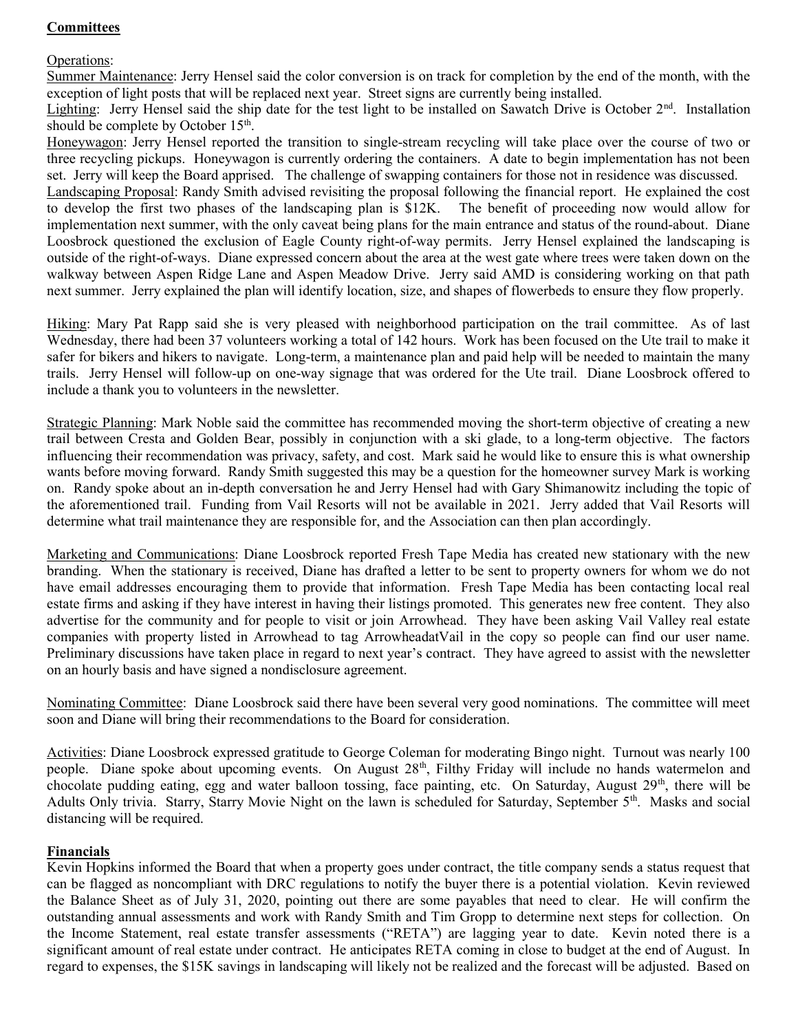## **Committees**

#### Operations:

Summer Maintenance: Jerry Hensel said the color conversion is on track for completion by the end of the month, with the exception of light posts that will be replaced next year. Street signs are currently being installed.

Lighting: Jerry Hensel said the ship date for the test light to be installed on Sawatch Drive is October  $2<sup>nd</sup>$ . Installation should be complete by October 15<sup>th</sup>.

Honeywagon: Jerry Hensel reported the transition to single-stream recycling will take place over the course of two or three recycling pickups. Honeywagon is currently ordering the containers. A date to begin implementation has not been set. Jerry will keep the Board apprised. The challenge of swapping containers for those not in residence was discussed.

Landscaping Proposal: Randy Smith advised revisiting the proposal following the financial report. He explained the cost to develop the first two phases of the landscaping plan is \$12K. The benefit of proceeding now would allow for implementation next summer, with the only caveat being plans for the main entrance and status of the round-about. Diane Loosbrock questioned the exclusion of Eagle County right-of-way permits. Jerry Hensel explained the landscaping is outside of the right-of-ways. Diane expressed concern about the area at the west gate where trees were taken down on the walkway between Aspen Ridge Lane and Aspen Meadow Drive. Jerry said AMD is considering working on that path next summer. Jerry explained the plan will identify location, size, and shapes of flowerbeds to ensure they flow properly.

Hiking: Mary Pat Rapp said she is very pleased with neighborhood participation on the trail committee. As of last Wednesday, there had been 37 volunteers working a total of 142 hours. Work has been focused on the Ute trail to make it safer for bikers and hikers to navigate. Long-term, a maintenance plan and paid help will be needed to maintain the many trails. Jerry Hensel will follow-up on one-way signage that was ordered for the Ute trail. Diane Loosbrock offered to include a thank you to volunteers in the newsletter.

Strategic Planning: Mark Noble said the committee has recommended moving the short-term objective of creating a new trail between Cresta and Golden Bear, possibly in conjunction with a ski glade, to a long-term objective. The factors influencing their recommendation was privacy, safety, and cost. Mark said he would like to ensure this is what ownership wants before moving forward. Randy Smith suggested this may be a question for the homeowner survey Mark is working on. Randy spoke about an in-depth conversation he and Jerry Hensel had with Gary Shimanowitz including the topic of the aforementioned trail. Funding from Vail Resorts will not be available in 2021. Jerry added that Vail Resorts will determine what trail maintenance they are responsible for, and the Association can then plan accordingly.

Marketing and Communications: Diane Loosbrock reported Fresh Tape Media has created new stationary with the new branding. When the stationary is received, Diane has drafted a letter to be sent to property owners for whom we do not have email addresses encouraging them to provide that information. Fresh Tape Media has been contacting local real estate firms and asking if they have interest in having their listings promoted. This generates new free content. They also advertise for the community and for people to visit or join Arrowhead. They have been asking Vail Valley real estate companies with property listed in Arrowhead to tag ArrowheadatVail in the copy so people can find our user name. Preliminary discussions have taken place in regard to next year's contract. They have agreed to assist with the newsletter on an hourly basis and have signed a nondisclosure agreement.

Nominating Committee: Diane Loosbrock said there have been several very good nominations. The committee will meet soon and Diane will bring their recommendations to the Board for consideration.

Activities: Diane Loosbrock expressed gratitude to George Coleman for moderating Bingo night. Turnout was nearly 100 people. Diane spoke about upcoming events. On August  $28<sup>th</sup>$ , Filthy Friday will include no hands watermelon and chocolate pudding eating, egg and water balloon tossing, face painting, etc. On Saturday, August 29<sup>th</sup>, there will be Adults Only trivia. Starry, Starry Movie Night on the lawn is scheduled for Saturday, September 5th. Masks and social distancing will be required.

## Financials

Kevin Hopkins informed the Board that when a property goes under contract, the title company sends a status request that can be flagged as noncompliant with DRC regulations to notify the buyer there is a potential violation. Kevin reviewed the Balance Sheet as of July 31, 2020, pointing out there are some payables that need to clear. He will confirm the outstanding annual assessments and work with Randy Smith and Tim Gropp to determine next steps for collection. On the Income Statement, real estate transfer assessments ("RETA") are lagging year to date. Kevin noted there is a significant amount of real estate under contract. He anticipates RETA coming in close to budget at the end of August. In regard to expenses, the \$15K savings in landscaping will likely not be realized and the forecast will be adjusted. Based on